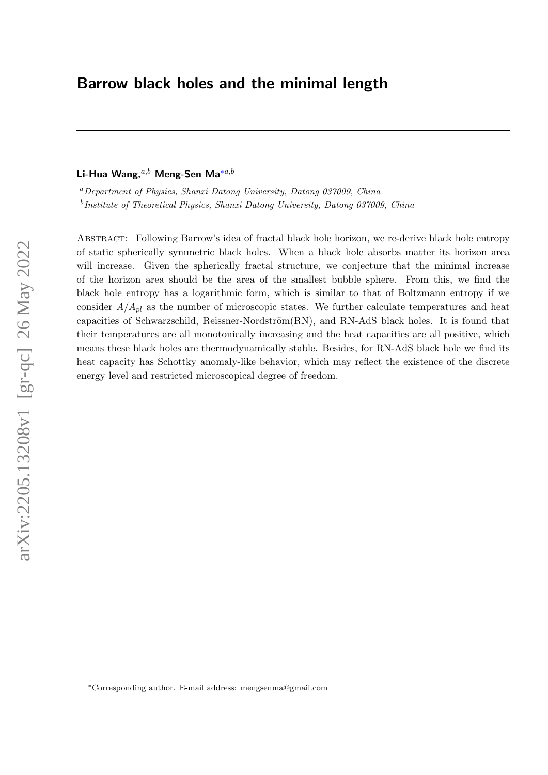# <span id="page-0-0"></span>Barrow black holes and the minimal length

# Li-Hua Wang,  $a,b$  Meng-Sen Ma<sup>\*a,b</sup>

<sup>a</sup>Department of Physics, Shanxi Datong University, Datong 037009, China <sup>b</sup>Institute of Theoretical Physics, Shanxi Datong University, Datong 037009, China

Abstract: Following Barrow's idea of fractal black hole horizon, we re-derive black hole entropy of static spherically symmetric black holes. When a black hole absorbs matter its horizon area will increase. Given the spherically fractal structure, we conjecture that the minimal increase of the horizon area should be the area of the smallest bubble sphere. From this, we find the black hole entropy has a logarithmic form, which is similar to that of Boltzmann entropy if we consider  $A/A_{pl}$  as the number of microscopic states. We further calculate temperatures and heat capacities of Schwarzschild, Reissner-Nordström $(RN)$ , and  $RN-AdS$  black holes. It is found that their temperatures are all monotonically increasing and the heat capacities are all positive, which means these black holes are thermodynamically stable. Besides, for RN-AdS black hole we find its heat capacity has Schottky anomaly-like behavior, which may reflect the existence of the discrete energy level and restricted microscopical degree of freedom.

<sup>∗</sup>Corresponding author. E-mail address: mengsenma@gmail.com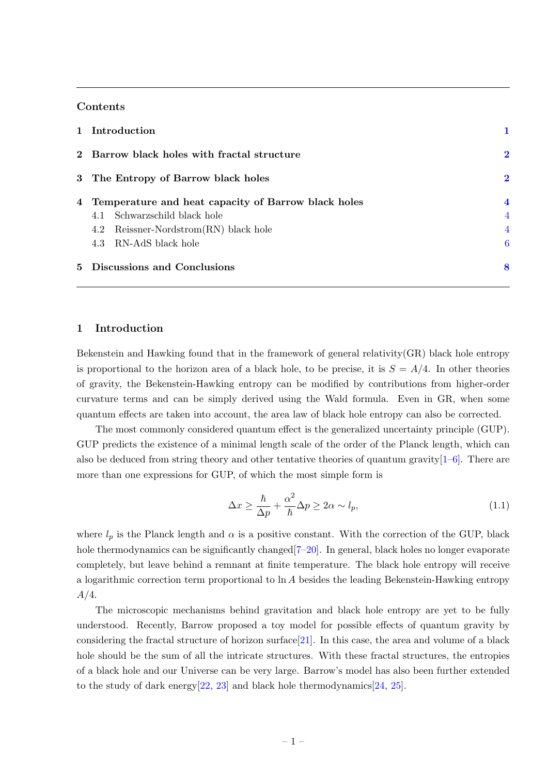# Contents

| 1 Introduction                                        |                         |
|-------------------------------------------------------|-------------------------|
| 2 Barrow black holes with fractal structure           | $\bf{2}$                |
| 3 The Entropy of Barrow black holes                   | $\bf{2}$                |
| 4 Temperature and heat capacity of Barrow black holes | $\overline{\mathbf{4}}$ |
| Schwarzschild black hole<br>4.1                       | $\overline{4}$          |
| 4.2 Reissner-Nordstrom(RN) black hole                 | $\overline{4}$          |
| 4.3 RN-AdS black hole                                 | 6                       |
| 5 Discussions and Conclusions                         | 8                       |

# <span id="page-1-0"></span>1 Introduction

Bekenstein and Hawking found that in the framework of general relativity(GR) black hole entropy is proportional to the horizon area of a black hole, to be precise, it is  $S = A/4$ . In other theories of gravity, the Bekenstein-Hawking entropy can be modified by contributions from higher-order curvature terms and can be simply derived using the Wald formula. Even in GR, when some quantum effects are taken into account, the area law of black hole entropy can also be corrected.

The most commonly considered quantum effect is the generalized uncertainty principle (GUP). GUP predicts the existence of a minimal length scale of the order of the Planck length, which can also be deduced from string theory and other tentative theories of quantum gravity $[1-6]$  $[1-6]$ . There are more than one expressions for GUP, of which the most simple form is

$$
\Delta x \ge \frac{\hbar}{\Delta p} + \frac{\alpha^2}{\hbar} \Delta p \ge 2\alpha \sim l_p,\tag{1.1}
$$

where  $l_p$  is the Planck length and  $\alpha$  is a positive constant. With the correction of the GUP, black hole thermodynamics can be significantly changed  $[7–20]$  $[7–20]$ . In general, black holes no longer evaporate completely, but leave behind a remnant at finite temperature. The black hole entropy will receive a logarithmic correction term proportional to ln A besides the leading Bekenstein-Hawking entropy  $A/4$ .

The microscopic mechanisms behind gravitation and black hole entropy are yet to be fully understood. Recently, Barrow proposed a toy model for possible effects of quantum gravity by considering the fractal structure of horizon surface[\[21\]](#page-10-1). In this case, the area and volume of a black hole should be the sum of all the intricate structures. With these fractal structures, the entropies of a black hole and our Universe can be very large. Barrow's model has also been further extended to the study of dark energy $[22, 23]$  $[22, 23]$  $[22, 23]$  and black hole thermodynamics  $[24, 25]$  $[24, 25]$  $[24, 25]$ .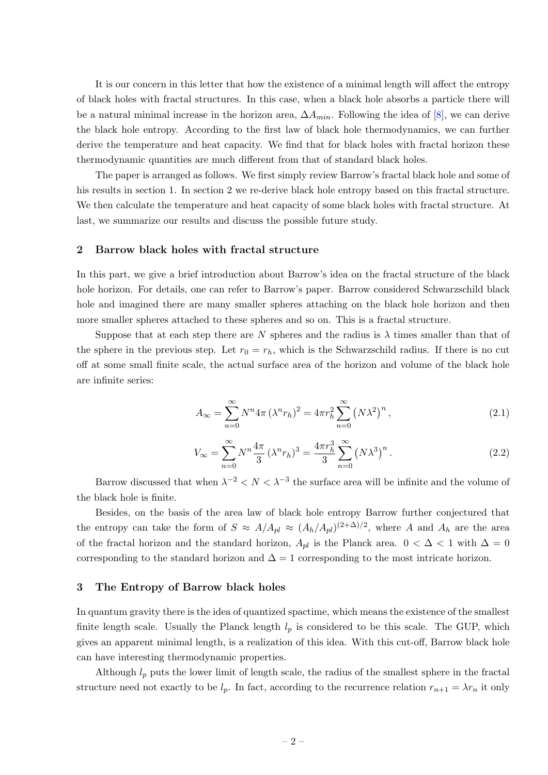It is our concern in this letter that how the existence of a minimal length will affect the entropy of black holes with fractal structures. In this case, when a black hole absorbs a particle there will be a natural minimal increase in the horizon area,  $\Delta A_{min}$ . Following the idea of [\[8\]](#page-9-3), we can derive the black hole entropy. According to the first law of black hole thermodynamics, we can further derive the temperature and heat capacity. We find that for black holes with fractal horizon these thermodynamic quantities are much different from that of standard black holes.

The paper is arranged as follows. We first simply review Barrow's fractal black hole and some of his results in section 1. In section 2 we re-derive black hole entropy based on this fractal structure. We then calculate the temperature and heat capacity of some black holes with fractal structure. At last, we summarize our results and discuss the possible future study.

## <span id="page-2-0"></span>2 Barrow black holes with fractal structure

In this part, we give a brief introduction about Barrow's idea on the fractal structure of the black hole horizon. For details, one can refer to Barrow's paper. Barrow considered Schwarzschild black hole and imagined there are many smaller spheres attaching on the black hole horizon and then more smaller spheres attached to these spheres and so on. This is a fractal structure.

Suppose that at each step there are N spheres and the radius is  $\lambda$  times smaller than that of the sphere in the previous step. Let  $r_0 = r_h$ , which is the Schwarzschild radius. If there is no cut off at some small finite scale, the actual surface area of the horizon and volume of the black hole are infinite series:

$$
A_{\infty} = \sum_{n=0}^{\infty} N^n 4\pi \left(\lambda^n r_h\right)^2 = 4\pi r_h^2 \sum_{n=0}^{\infty} \left(N\lambda^2\right)^n,\tag{2.1}
$$

$$
V_{\infty} = \sum_{n=0}^{\infty} N^n \frac{4\pi}{3} (\lambda^n r_h)^3 = \frac{4\pi r_h^3}{3} \sum_{n=0}^{\infty} (N\lambda^3)^n.
$$
 (2.2)

Barrow discussed that when  $\lambda^{-2} < N < \lambda^{-3}$  the surface area will be infinite and the volume of the black hole is finite.

Besides, on the basis of the area law of black hole entropy Barrow further conjectured that the entropy can take the form of  $S \approx A/A_{pl} \approx (A_h/A_{pl})^{(2+\Delta)/2}$ , where A and  $A_h$  are the area of the fractal horizon and the standard horizon,  $A_{pl}$  is the Planck area.  $0 < \Delta < 1$  with  $\Delta = 0$ corresponding to the standard horizon and  $\Delta = 1$  corresponding to the most intricate horizon.

#### <span id="page-2-1"></span>3 The Entropy of Barrow black holes

In quantum gravity there is the idea of quantized spactime, which means the existence of the smallest finite length scale. Usually the Planck length  $l_p$  is considered to be this scale. The GUP, which gives an apparent minimal length, is a realization of this idea. With this cut-off, Barrow black hole can have interesting thermodynamic properties.

Although  $l_p$  puts the lower limit of length scale, the radius of the smallest sphere in the fractal structure need not exactly to be  $l_p$ . In fact, according to the recurrence relation  $r_{n+1} = \lambda r_n$  it only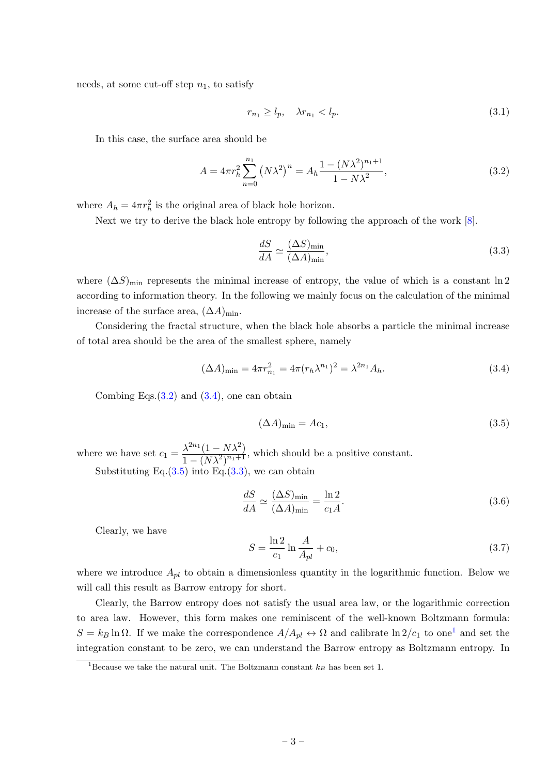needs, at some cut-off step  $n_1$ , to satisfy

$$
r_{n_1} \ge l_p, \quad \lambda r_{n_1} < l_p. \tag{3.1}
$$

In this case, the surface area should be

<span id="page-3-0"></span>
$$
A = 4\pi r_h^2 \sum_{n=0}^{n_1} (N\lambda^2)^n = A_h \frac{1 - (N\lambda^2)^{n_1+1}}{1 - N\lambda^2},
$$
\n(3.2)

where  $A_h = 4\pi r_h^2$  is the original area of black hole horizon.

Next we try to derive the black hole entropy by following the approach of the work [\[8\]](#page-9-3).

<span id="page-3-3"></span>
$$
\frac{dS}{dA} \simeq \frac{(\Delta S)_{\text{min}}}{(\Delta A)_{\text{min}}},\tag{3.3}
$$

where  $(\Delta S)_{\text{min}}$  represents the minimal increase of entropy, the value of which is a constant ln 2 according to information theory. In the following we mainly focus on the calculation of the minimal increase of the surface area,  $(\Delta A)_{\text{min}}$ .

Considering the fractal structure, when the black hole absorbs a particle the minimal increase of total area should be the area of the smallest sphere, namely

<span id="page-3-1"></span>
$$
(\Delta A)_{\min} = 4\pi r_{n_1}^2 = 4\pi (r_h \lambda^{n_1})^2 = \lambda^{2n_1} A_h.
$$
\n(3.4)

Combing Eqs. $(3.2)$  and  $(3.4)$ , one can obtain

<span id="page-3-2"></span>
$$
(\Delta A)_{\text{min}} = Ac_1,\tag{3.5}
$$

where we have set  $c_1 = \frac{\lambda^{2n_1}(1 - N\lambda^2)}{1 - (N\lambda^2)^{2n_1+1}}$  $\frac{\lambda}{1-(N\lambda^2)^{n_1+1}}$ , which should be a positive constant.

Substituting Eq. $(3.5)$  into Eq. $(3.3)$ , we can obtain

$$
\frac{dS}{dA} \simeq \frac{(\Delta S)_{\text{min}}}{(\Delta A)_{\text{min}}} = \frac{\ln 2}{c_1 A}.\tag{3.6}
$$

Clearly, we have

$$
S = \frac{\ln 2}{c_1} \ln \frac{A}{A_{pl}} + c_0,
$$
\n(3.7)

where we introduce  $A_{pl}$  to obtain a dimensionless quantity in the logarithmic function. Below we will call this result as Barrow entropy for short.

Clearly, the Barrow entropy does not satisfy the usual area law, or the logarithmic correction to area law. However, this form makes one reminiscent of the well-known Boltzmann formula:  $S = k_B \ln \Omega$ . If we make the correspondence  $A/A_{pl} \leftrightarrow \Omega$  and calibrate  $\ln 2/c_1$  $\ln 2/c_1$  to one<sup>1</sup> and set the integration constant to be zero, we can understand the Barrow entropy as Boltzmann entropy. In

<sup>&</sup>lt;sup>1</sup>Because we take the natural unit. The Boltzmann constant  $k_B$  has been set 1.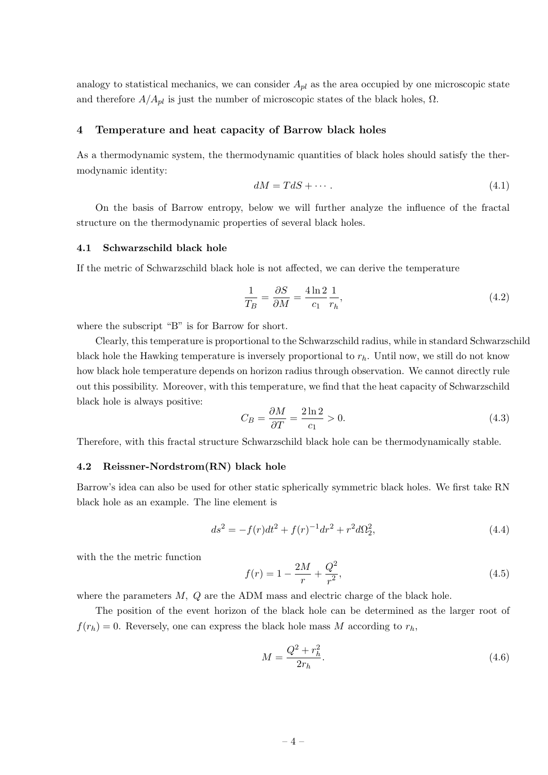analogy to statistical mechanics, we can consider  $A_{pl}$  as the area occupied by one microscopic state and therefore  $A/A_{pl}$  is just the number of microscopic states of the black holes,  $\Omega$ .

## <span id="page-4-0"></span>4 Temperature and heat capacity of Barrow black holes

As a thermodynamic system, the thermodynamic quantities of black holes should satisfy the thermodynamic identity:

$$
dM = TdS + \cdots. \tag{4.1}
$$

On the basis of Barrow entropy, below we will further analyze the influence of the fractal structure on the thermodynamic properties of several black holes.

# <span id="page-4-1"></span>4.1 Schwarzschild black hole

If the metric of Schwarzschild black hole is not affected, we can derive the temperature

<span id="page-4-3"></span>
$$
\frac{1}{T_B} = \frac{\partial S}{\partial M} = \frac{4\ln 2}{c_1} \frac{1}{r_h},\tag{4.2}
$$

where the subscript "B" is for Barrow for short.

Clearly, this temperature is proportional to the Schwarzschild radius, while in standard Schwarzschild black hole the Hawking temperature is inversely proportional to  $r<sub>h</sub>$ . Until now, we still do not know how black hole temperature depends on horizon radius through observation. We cannot directly rule out this possibility. Moreover, with this temperature, we find that the heat capacity of Schwarzschild black hole is always positive:

$$
C_B = \frac{\partial M}{\partial T} = \frac{2\ln 2}{c_1} > 0.
$$
\n
$$
(4.3)
$$

Therefore, with this fractal structure Schwarzschild black hole can be thermodynamically stable.

# <span id="page-4-2"></span>4.2 Reissner-Nordstrom(RN) black hole

Barrow's idea can also be used for other static spherically symmetric black holes. We first take RN black hole as an example. The line element is

$$
ds^{2} = -f(r)dt^{2} + f(r)^{-1}dr^{2} + r^{2}d\Omega_{2}^{2},
$$
\n(4.4)

with the the metric function

$$
f(r) = 1 - \frac{2M}{r} + \frac{Q^2}{r^2},\tag{4.5}
$$

where the parameters  $M$ ,  $Q$  are the ADM mass and electric charge of the black hole.

The position of the event horizon of the black hole can be determined as the larger root of  $f(r_h) = 0$ . Reversely, one can express the black hole mass M according to  $r_h$ ,

$$
M = \frac{Q^2 + r_h^2}{2r_h}.\tag{4.6}
$$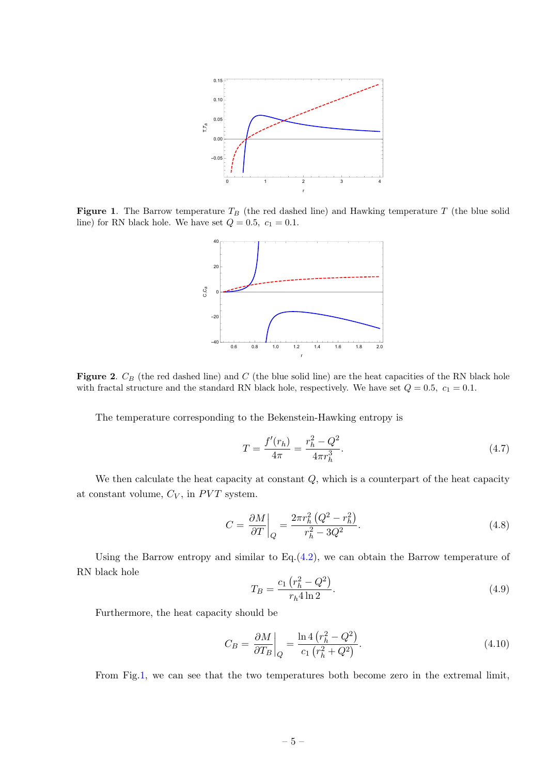

<span id="page-5-0"></span>**Figure 1.** The Barrow temperature  $T_B$  (the red dashed line) and Hawking temperature T (the blue solid line) for RN black hole. We have set  $Q = 0.5$ ,  $c_1 = 0.1$ .



<span id="page-5-1"></span>Figure 2.  $C_B$  (the red dashed line) and C (the blue solid line) are the heat capacities of the RN black hole with fractal structure and the standard RN black hole, respectively. We have set  $Q = 0.5$ ,  $c_1 = 0.1$ .

The temperature corresponding to the Bekenstein-Hawking entropy is

$$
T = \frac{f'(r_h)}{4\pi} = \frac{r_h^2 - Q^2}{4\pi r_h^3}.
$$
\n(4.7)

We then calculate the heat capacity at constant  $Q$ , which is a counterpart of the heat capacity at constant volume,  $C_V$ , in  $PVT$  system.

$$
C = \frac{\partial M}{\partial T}\bigg|_{Q} = \frac{2\pi r_h^2 (Q^2 - r_h^2)}{r_h^2 - 3Q^2}.
$$
\n(4.8)

Using the Barrow entropy and similar to  $Eq.(4.2)$  $Eq.(4.2)$ , we can obtain the Barrow temperature of RN black hole

$$
T_B = \frac{c_1 \left(r_h^2 - Q^2\right)}{r_h 4 \ln 2}.\tag{4.9}
$$

Furthermore, the heat capacity should be

$$
C_B = \left. \frac{\partial M}{\partial T_B} \right|_Q = \frac{\ln 4 \left( r_h^2 - Q^2 \right)}{c_1 \left( r_h^2 + Q^2 \right)}.
$$
\n
$$
(4.10)
$$

From Fig[.1,](#page-5-0) we can see that the two temperatures both become zero in the extremal limit,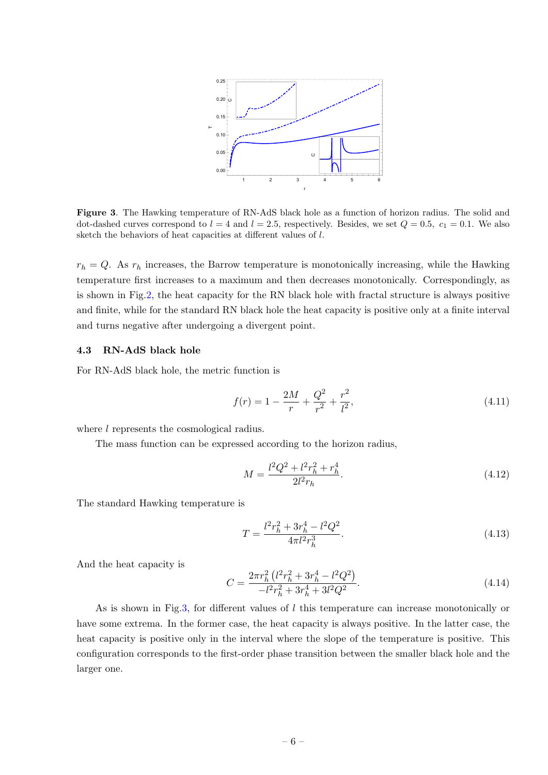

<span id="page-6-1"></span>Figure 3. The Hawking temperature of RN-AdS black hole as a function of horizon radius. The solid and dot-dashed curves correspond to  $l = 4$  and  $l = 2.5$ , respectively. Besides, we set  $Q = 0.5$ ,  $c_1 = 0.1$ . We also sketch the behaviors of heat capacities at different values of l.

 $r_h = Q$ . As  $r_h$  increases, the Barrow temperature is monotonically increasing, while the Hawking temperature first increases to a maximum and then decreases monotonically. Correspondingly, as is shown in Fig[.2,](#page-5-1) the heat capacity for the RN black hole with fractal structure is always positive and finite, while for the standard RN black hole the heat capacity is positive only at a finite interval and turns negative after undergoing a divergent point.

# <span id="page-6-0"></span>4.3 RN-AdS black hole

For RN-AdS black hole, the metric function is

$$
f(r) = 1 - \frac{2M}{r} + \frac{Q^2}{r^2} + \frac{r^2}{l^2},
$$
\n(4.11)

where l represents the cosmological radius.

The mass function can be expressed according to the horizon radius,

$$
M = \frac{l^2 Q^2 + l^2 r_h^2 + r_h^4}{2l^2 r_h}.
$$
\n(4.12)

The standard Hawking temperature is

$$
T = \frac{l^2 r_h^2 + 3r_h^4 - l^2 Q^2}{4\pi l^2 r_h^3}.
$$
\n(4.13)

And the heat capacity is

$$
C = \frac{2\pi r_h^2 \left(l^2 r_h^2 + 3r_h^4 - l^2 Q^2\right)}{-l^2 r_h^2 + 3r_h^4 + 3l^2 Q^2}.
$$
\n(4.14)

As is shown in Fig[.3,](#page-6-1) for different values of l this temperature can increase monotonically or have some extrema. In the former case, the heat capacity is always positive. In the latter case, the heat capacity is positive only in the interval where the slope of the temperature is positive. This configuration corresponds to the first-order phase transition between the smaller black hole and the larger one.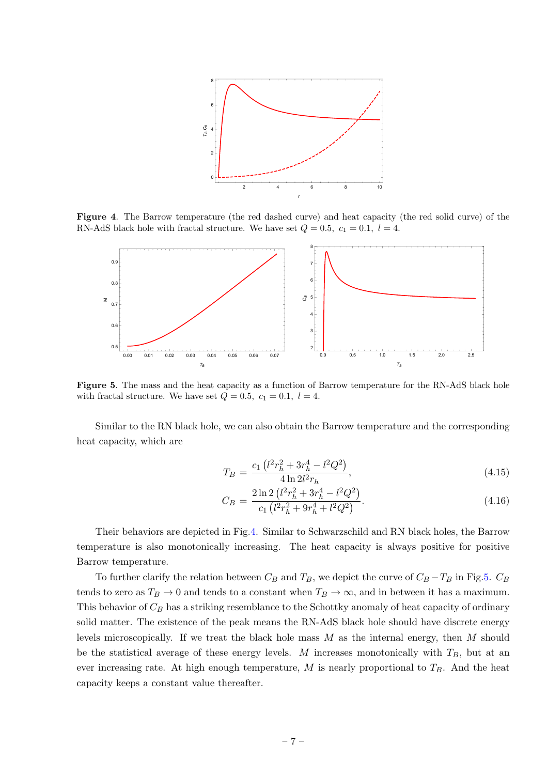

Figure 4. The Barrow temperature (the red dashed curve) and heat capacity (the red solid curve) of the RN-AdS black hole with fractal structure. We have set  $Q = 0.5$ ,  $c_1 = 0.1$ ,  $l = 4$ .

<span id="page-7-0"></span>

<span id="page-7-1"></span>Figure 5. The mass and the heat capacity as a function of Barrow temperature for the RN-AdS black hole with fractal structure. We have set  $Q = 0.5$ ,  $c_1 = 0.1$ ,  $l = 4$ .

Similar to the RN black hole, we can also obtain the Barrow temperature and the corresponding heat capacity, which are

$$
T_B = \frac{c_1 \left(l^2 r_h^2 + 3r_h^4 - l^2 Q^2\right)}{4 \ln 2 l^2 r_h},\tag{4.15}
$$

$$
C_B = \frac{2\ln 2\left(l^2 r_h^2 + 3r_h^4 - l^2 Q^2\right)}{c_1 \left(l^2 r_h^2 + 9r_h^4 + l^2 Q^2\right)}.
$$
\n(4.16)

Their behaviors are depicted in Fig[.4.](#page-7-0) Similar to Schwarzschild and RN black holes, the Barrow temperature is also monotonically increasing. The heat capacity is always positive for positive Barrow temperature.

To further clarify the relation between  $C_B$  and  $T_B$ , we depict the curve of  $C_B - T_B$  in Fig[.5.](#page-7-1)  $C_B$ tends to zero as  $T_B \to 0$  and tends to a constant when  $T_B \to \infty$ , and in between it has a maximum. This behavior of  $C_B$  has a striking resemblance to the Schottky anomaly of heat capacity of ordinary solid matter. The existence of the peak means the RN-AdS black hole should have discrete energy levels microscopically. If we treat the black hole mass  $M$  as the internal energy, then  $M$  should be the statistical average of these energy levels. M increases monotonically with  $T_B$ , but at an ever increasing rate. At high enough temperature,  $M$  is nearly proportional to  $T_B$ . And the heat capacity keeps a constant value thereafter.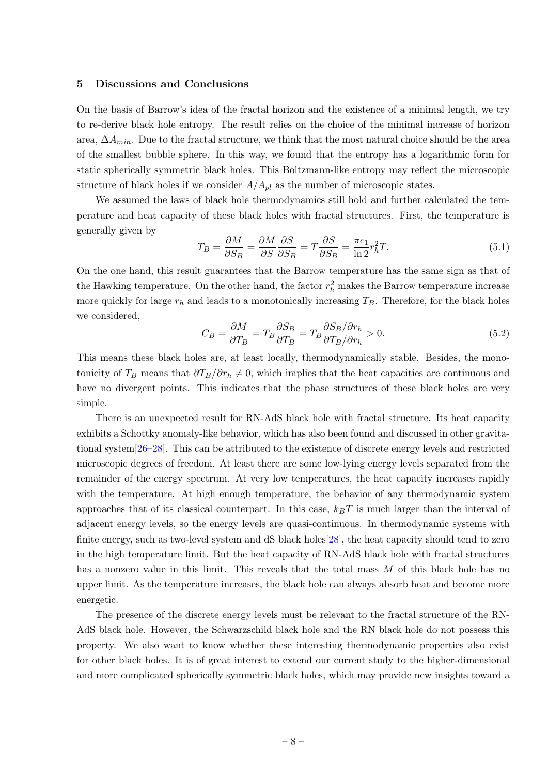## <span id="page-8-0"></span>5 Discussions and Conclusions

On the basis of Barrow's idea of the fractal horizon and the existence of a minimal length, we try to re-derive black hole entropy. The result relies on the choice of the minimal increase of horizon area,  $\Delta A_{min}$ . Due to the fractal structure, we think that the most natural choice should be the area of the smallest bubble sphere. In this way, we found that the entropy has a logarithmic form for static spherically symmetric black holes. This Boltzmann-like entropy may reflect the microscopic structure of black holes if we consider  $A/A_{pl}$  as the number of microscopic states.

We assumed the laws of black hole thermodynamics still hold and further calculated the temperature and heat capacity of these black holes with fractal structures. First, the temperature is generally given by

$$
T_B = \frac{\partial M}{\partial S_B} = \frac{\partial M}{\partial S} \frac{\partial S}{\partial S_B} = T \frac{\partial S}{\partial S_B} = \frac{\pi c_1}{\ln 2} r_h^2 T. \tag{5.1}
$$

On the one hand, this result guarantees that the Barrow temperature has the same sign as that of the Hawking temperature. On the other hand, the factor  $r_h^2$  makes the Barrow temperature increase more quickly for large  $r_h$  and leads to a monotonically increasing  $T_B$ . Therefore, for the black holes we considered,

$$
C_B = \frac{\partial M}{\partial T_B} = T_B \frac{\partial S_B}{\partial T_B} = T_B \frac{\partial S_B}{\partial T_B / \partial r_h} > 0.
$$
\n(5.2)

This means these black holes are, at least locally, thermodynamically stable. Besides, the monotonicity of T<sub>B</sub> means that  $\partial T_B/\partial r_h \neq 0$ , which implies that the heat capacities are continuous and have no divergent points. This indicates that the phase structures of these black holes are very simple.

There is an unexpected result for RN-AdS black hole with fractal structure. Its heat capacity exhibits a Schottky anomaly-like behavior, which has also been found and discussed in other gravitational system[\[26–](#page-10-6)[28\]](#page-10-7). This can be attributed to the existence of discrete energy levels and restricted microscopic degrees of freedom. At least there are some low-lying energy levels separated from the remainder of the energy spectrum. At very low temperatures, the heat capacity increases rapidly with the temperature. At high enough temperature, the behavior of any thermodynamic system approaches that of its classical counterpart. In this case,  $k_BT$  is much larger than the interval of adjacent energy levels, so the energy levels are quasi-continuous. In thermodynamic systems with finite energy, such as two-level system and dS black holes [\[28\]](#page-10-7), the heat capacity should tend to zero in the high temperature limit. But the heat capacity of RN-AdS black hole with fractal structures has a nonzero value in this limit. This reveals that the total mass  $M$  of this black hole has no upper limit. As the temperature increases, the black hole can always absorb heat and become more energetic.

The presence of the discrete energy levels must be relevant to the fractal structure of the RN-AdS black hole. However, the Schwarzschild black hole and the RN black hole do not possess this property. We also want to know whether these interesting thermodynamic properties also exist for other black holes. It is of great interest to extend our current study to the higher-dimensional and more complicated spherically symmetric black holes, which may provide new insights toward a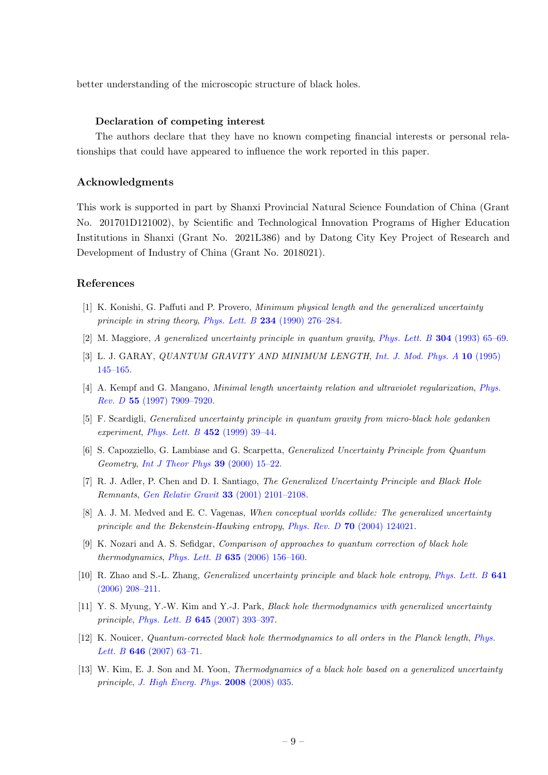better understanding of the microscopic structure of black holes.

#### Declaration of competing interest

The authors declare that they have no known competing financial interests or personal relationships that could have appeared to influence the work reported in this paper.

## Acknowledgments

This work is supported in part by Shanxi Provincial Natural Science Foundation of China (Grant No. 201701D121002), by Scientific and Technological Innovation Programs of Higher Education Institutions in Shanxi (Grant No. 2021L386) and by Datong City Key Project of Research and Development of Industry of China (Grant No. 2018021).

## References

- <span id="page-9-0"></span>[1] K. Konishi, G. Paffuti and P. Provero, Minimum physical length and the generalized uncertainty principle in string theory, Phys. Lett. B 234 [\(1990\) 276–284.](http://dx.doi.org/10.1016/0370-2693(90)91927-4)
- [2] M. Maggiore, A generalized uncertainty principle in quantum gravity, [Phys. Lett. B](http://dx.doi.org/10.1016/0370-2693(93)91401-8) 304 (1993) 65–69.
- [3] L. J. GARAY, *QUANTUM GRAVITY AND MINIMUM LENGTH*, *[Int. J. Mod. Phys. A](http://dx.doi.org/10.1142/S0217751X95000085)* 10 (1995) [145–165.](http://dx.doi.org/10.1142/S0217751X95000085)
- [4] A. Kempf and G. Mangano, Minimal length uncertainty relation and ultraviolet regularization, [Phys.](http://dx.doi.org/10.1103/PhysRevD.55.7909) Rev. D 55 [\(1997\) 7909–7920.](http://dx.doi.org/10.1103/PhysRevD.55.7909)
- [5] F. Scardigli, Generalized uncertainty principle in quantum gravity from micro-black hole gedanken experiment, [Phys. Lett. B](http://dx.doi.org/10.1016/S0370-2693(99)00167-7)  $452$  (1999) 39-44.
- <span id="page-9-1"></span>[6] S. Capozziello, G. Lambiase and G. Scarpetta, Generalized Uncertainty Principle from Quantum Geometry, [Int J Theor Phys](http://dx.doi.org/10.1023/A:1003634814685)  $39$  (2000) 15–22.
- <span id="page-9-2"></span>[7] R. J. Adler, P. Chen and D. I. Santiago, The Generalized Uncertainty Principle and Black Hole Remnants, [Gen Relativ Gravit](http://dx.doi.org/10.1023/A:1015281430411) 33 (2001) 2101–2108.
- <span id="page-9-3"></span>[8] A. J. M. Medved and E. C. Vagenas, When conceptual worlds collide: The generalized uncertainty principle and the Bekenstein-Hawking entropy, Phys. Rev. D 70 [\(2004\) 124021.](http://dx.doi.org/10.1103/PhysRevD.70.124021)
- [9] K. Nozari and A. S. Sefidgar, Comparison of approaches to quantum correction of black hole thermodynamics, *Phys. Lett. B*  $635$  (2006) 156-160.
- [10] R. Zhao and S.-L. Zhang, Generalized uncertainty principle and black hole entropy, [Phys. Lett. B](http://dx.doi.org/10.1016/j.physletb.2006.08.056) 641 [\(2006\) 208–211.](http://dx.doi.org/10.1016/j.physletb.2006.08.056)
- [11] Y. S. Myung, Y.-W. Kim and Y.-J. Park, Black hole thermodynamics with generalized uncertainty principle, Phys. Lett. B 645 [\(2007\) 393–397.](http://dx.doi.org/10.1016/j.physletb.2006.12.062)
- [12] K. Nouicer, Quantum-corrected black hole thermodynamics to all orders in the Planck length, [Phys.](http://dx.doi.org/10.1016/j.physletb.2006.12.072) Lett. B **646** (2007) 63-71.
- [13] W. Kim, E. J. Son and M. Yoon, *Thermodynamics of a black hole based on a generalized uncertainty* principle, [J. High Energ. Phys.](http://dx.doi.org/10.1088/1126-6708/2008/01/035) 2008 (2008) 035.